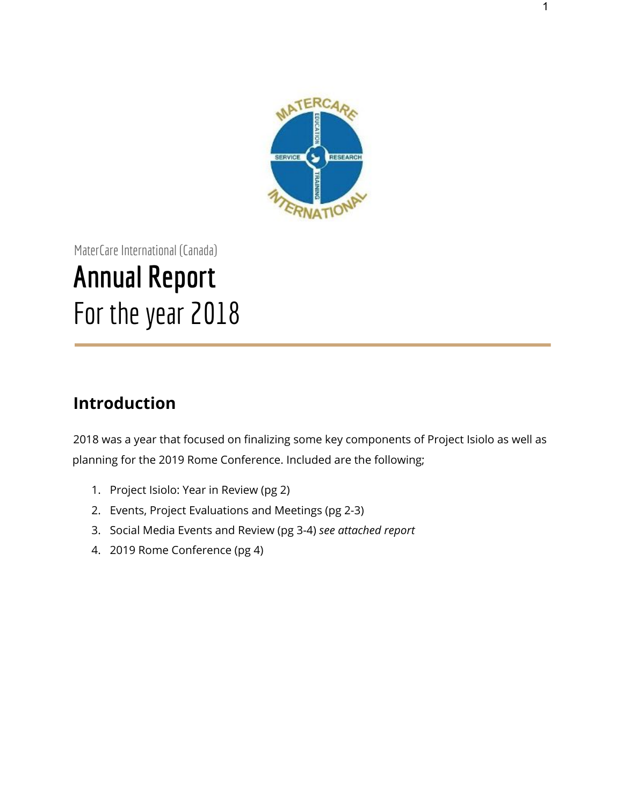

MaterCare International (Canada) **Annual Report** For the year 2018

# **Introduction**

2018 was a year that focused on finalizing some key components of Project Isiolo as well as planning for the 2019 Rome Conference. Included are the following;

- 1. Project Isiolo: Year in Review (pg 2)
- 2. Events, Project Evaluations and Meetings (pg 2-3)
- 3. Social Media Events and Review (pg 3-4) *see attached report*
- 4. 2019 Rome Conference (pg 4)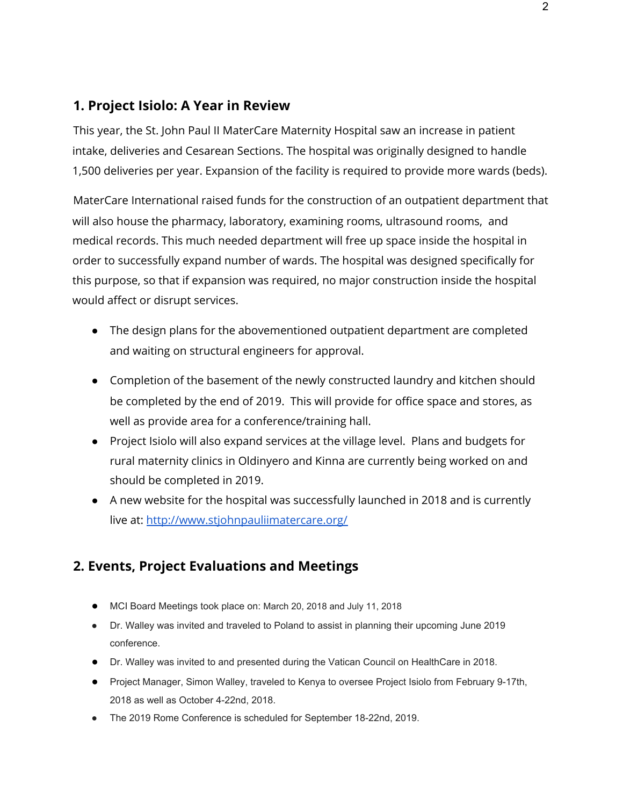## **1. Project Isiolo: A Year in Review**

This year, the St. John Paul II MaterCare Maternity Hospital saw an increase in patient intake, deliveries and Cesarean Sections. The hospital was originally designed to handle 1,500 deliveries per year. Expansion of the facility is required to provide more wards (beds).

MaterCare International raised funds for the construction of an outpatient department that will also house the pharmacy, laboratory, examining rooms, ultrasound rooms, and medical records. This much needed department will free up space inside the hospital in order to successfully expand number of wards. The hospital was designed specifically for this purpose, so that if expansion was required, no major construction inside the hospital would affect or disrupt services.

- The design plans for the abovementioned outpatient department are completed and waiting on structural engineers for approval.
- Completion of the basement of the newly constructed laundry and kitchen should be completed by the end of 2019. This will provide for office space and stores, as well as provide area for a conference/training hall.
- Project Isiolo will also expand services at the village level. Plans and budgets for rural maternity clinics in Oldinyero and Kinna are currently being worked on and should be completed in 2019.
- A new website for the hospital was successfully launched in 2018 and is currently live at: <http://www.stjohnpauliimatercare.org/>

## **2. Events, Project Evaluations and Meetings**

- MCI Board Meetings took place on: March 20, 2018 and July 11, 2018
- Dr. Walley was invited and traveled to Poland to assist in planning their upcoming June 2019 conference.
- Dr. Walley was invited to and presented during the Vatican Council on HealthCare in 2018.
- Project Manager, Simon Walley, traveled to Kenya to oversee Project Isiolo from February 9-17th, 2018 as well as October 4-22nd, 2018.
- The 2019 Rome Conference is scheduled for September 18-22nd, 2019.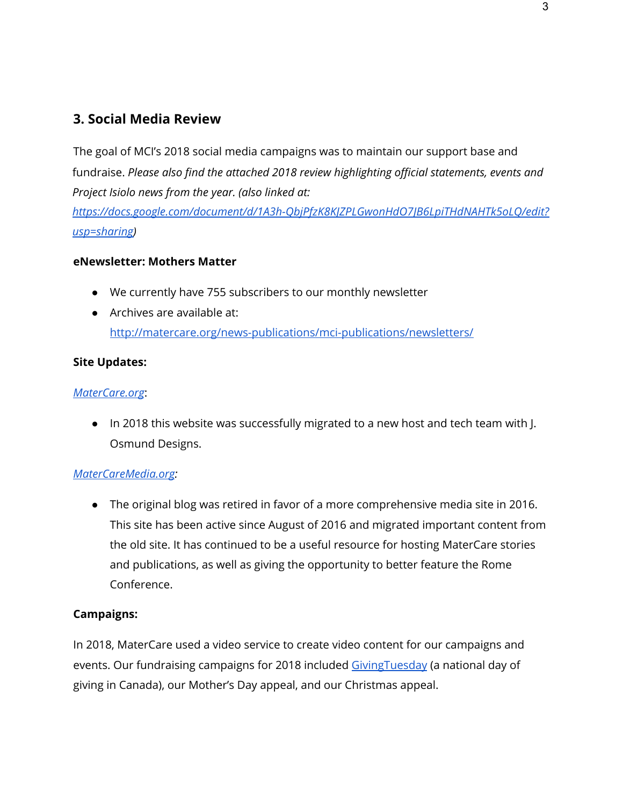## **3. Social Media Review**

The goal of MCI's 2018 social media campaigns was to maintain our support base and fundraise. *Please also find the attached 2018 review highlighting official statements, events and Project Isiolo news from the year. (also linked at:*

*[https://docs.google.com/document/d/1A3h-QbjPfzK8KJZPLGwonHdO7JB6LpiTHdNAHTk5oLQ/edit?](https://docs.google.com/document/d/1A3h-QbjPfzK8KJZPLGwonHdO7JB6LpiTHdNAHTk5oLQ/edit?usp=sharing) [usp=sharing\)](https://docs.google.com/document/d/1A3h-QbjPfzK8KJZPLGwonHdO7JB6LpiTHdNAHTk5oLQ/edit?usp=sharing)*

#### **eNewsletter: Mothers Matter**

- We currently have 755 subscribers to our monthly newsletter
- Archives are available at: <http://matercare.org/news-publications/mci-publications/newsletters/>

#### **Site Updates:**

#### *[MaterCare.org](http://www.matercare.org/)*:

● In 2018 this website was successfully migrated to a new host and tech team with J. Osmund Designs.

#### *[MaterCareMedia.org:](https://www.matercaremedia.org/)*

● The original blog was retired in favor of a more comprehensive media site in 2016. This site has been active since August of 2016 and migrated important content from the old site. It has continued to be a useful resource for hosting MaterCare stories and publications, as well as giving the opportunity to better feature the Rome Conference.

#### **Campaigns:**

In 2018, MaterCare used a video service to create video content for our campaigns and events. Our fundraising campaigns for 2018 included Giving Tuesday (a national day of giving in Canada), our Mother's Day appeal, and our Christmas appeal.